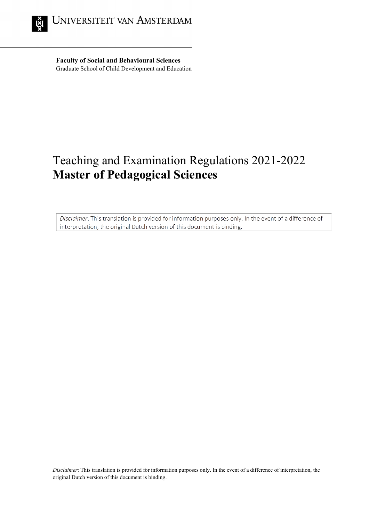

**Faculty of Social and Behavioural Sciences** Graduate School of Child Development and Education

# Teaching and Examination Regulations 2021-2022 **Master of Pedagogical Sciences**

Disclaimer: This translation is provided for information purposes only. In the event of a difference of interpretation, the original Dutch version of this document is binding.

*Disclaimer*: This translation is provided for information purposes only. In the event of a difference of interpretation, the original Dutch version of this document is binding.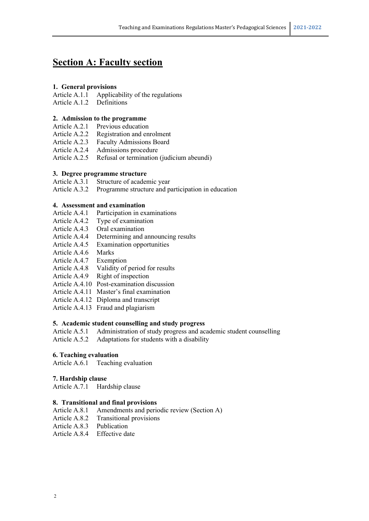## **Section A: Faculty section**

#### **1. General provisions**

Article A.1.1 Applicability of the regulations

Article A.1.2 Definitions

#### **2. Admission to the programme**

- Article A.2.1 Previous education
- Article A.2.2 Registration and enrolment<br>Article A.2.3 Faculty Admissions Board
- Faculty Admissions Board
- Article A.2.4 Admissions procedure
- Article A.2.5 Refusal or termination (judicium abeundi)

#### **3. Degree programme structure**

Article A.3.1 Structure of academic year

Article A.3.2 Programme structure and participation in education

#### **4. Assessment and examination**

- Article A.4.1 Participation in examinations
- Article A.4.2 Type of examination
- Article A.4.3 Oral examination
- Article A.4.4 Determining and announcing results
- Article A.4.5 Examination opportunities
- Article A.4.6 Marks
- Article A.4.7 Exemption
- Article A.4.8 Validity of period for results
- Article A.4.9 Right of inspection
- Article A.4.10 Post-examination discussion
- Article A.4.11 Master's final examination
- Article A.4.12 Diploma and transcript
- Article A.4.13 Fraud and plagiarism

#### **5. Academic student counselling and study progress**

- Article A.5.1 Administration of study progress and academic student counselling
- Article A.5.2 Adaptations for students with a disability

#### **6. Teaching evaluation**

Article A.6.1 Teaching evaluation

#### **7. Hardship clause**

Article A.7.1 Hardship clause

#### **8. Transitional and final provisions**

- Article A.8.1 Amendments and periodic review (Section A)
- Article A.8.2 Transitional provisions
- Article A.8.3 Publication
- Article A.8.4 Effective date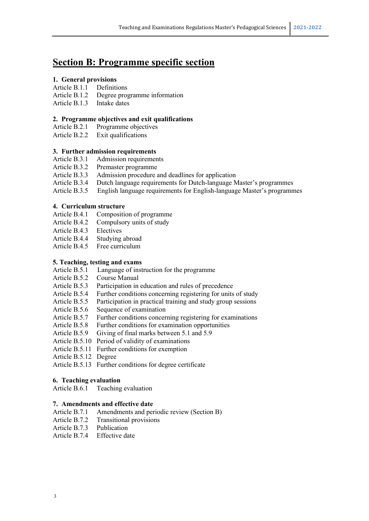## **Section B: Programme specific section**

#### **1. General provisions**

#### Article B.1.1 Definitions

- Article B.1.2 Degree programme information
- Article B.1.3 Intake dates

#### **2. Programme objectives and exit qualifications**

Article B.2.1 Programme objectives

Article B.2.2 Exit qualifications

#### **3. Further admission requirements**

- Article B.3.1 Admission requirements<br>Article B.3.2 Premaster programme
- Premaster programme
- Article B.3.3 Admission procedure and deadlines for application
- Article B.3.4 Dutch language requirements for Dutch-language Master's programmes
- Article B.3.5 English language requirements for English-language Master's programmes

#### **4. Curriculum structure**

- Article B.4.1 Composition of programme
- Article B.4.2 Compulsory units of study
- Article B.4.3 Electives
- Article B.4.4 Studying abroad
- Article B.4.5 Free curriculum

#### **5. Teaching, testing and exams**

- Article B.5.1 Language of instruction for the programme
- Article B.5.2 Course Manual
- Article B.5.3 Participation in education and rules of precedence
- Article B.5.4 Further conditions concerning registering for units of study
- Article B.5.5 Participation in practical training and study group sessions
- Article B.5.6 Sequence of examination
- Article B.5.7 Further conditions concerning registering for examinations
- Article B.5.8 Further conditions for examination opportunities
- Article B.5.9 Giving of final marks between 5.1 and 5.9
- Article B.5.10 Period of validity of examinations
- Article B.5.11 Further conditions for exemption
- Article B.5.12 Degree

Article B.5.13 Further conditions for degree certificate

#### **6. Teaching evaluation**

Article B.6.1 Teaching evaluation

#### **7. Amendments and effective date**

- Article B.7.1 Amendments and periodic review (Section B)
- Article B.7.2 Transitional provisions
- Article B.7.3 Publication
- Article B.7.4 Effective date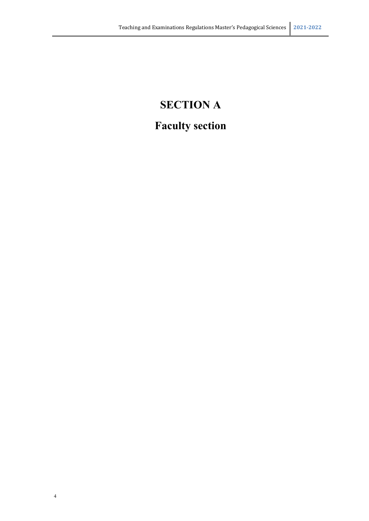# **SECTION A Faculty section**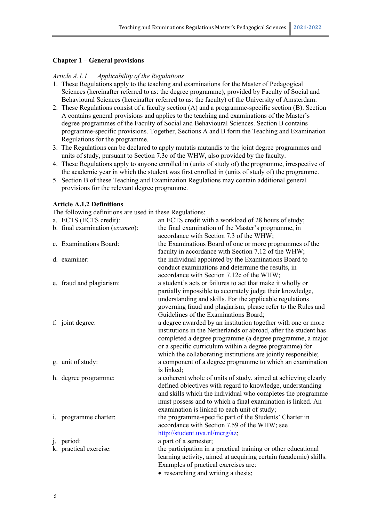#### **Chapter 1 – General provisions**

#### *Article A.1.1 Applicability of the Regulations*

- 1. These Regulations apply to the teaching and examinations for the Master of Pedagogical Sciences (hereinafter referred to as: the degree programme), provided by Faculty of Social and Behavioural Sciences (hereinafter referred to as: the faculty) of the University of Amsterdam.
- 2. These Regulations consist of a faculty section (A) and a programme-specific section (B). Section A contains general provisions and applies to the teaching and examinations of the Master's degree programmes of the Faculty of Social and Behavioural Sciences. Section B contains programme-specific provisions. Together, Sections A and B form the Teaching and Examination Regulations for the programme.
- 3. The Regulations can be declared to apply mutatis mutandis to the joint degree programmes and units of study, pursuant to Section 7.3c of the WHW, also provided by the faculty.
- 4. These Regulations apply to anyone enrolled in (units of study of) the programme, irrespective of the academic year in which the student was first enrolled in (units of study of) the programme.
- 5. Section B of these Teaching and Examination Regulations may contain additional general provisions for the relevant degree programme.

#### **Article A.1.2 Definitions**

The following definitions are used in these Regulations:

| a. ECTS (ECTS credit):         | an ECTS credit with a workload of 28 hours of study;                                                                         |
|--------------------------------|------------------------------------------------------------------------------------------------------------------------------|
| b. final examination (examen): | the final examination of the Master's programme, in                                                                          |
|                                | accordance with Section 7.3 of the WHW;                                                                                      |
| c. Examinations Board:         | the Examinations Board of one or more programmes of the                                                                      |
|                                | faculty in accordance with Section 7.12 of the WHW;                                                                          |
| d. examiner:                   | the individual appointed by the Examinations Board to                                                                        |
|                                | conduct examinations and determine the results, in                                                                           |
|                                | accordance with Section 7.12c of the WHW;                                                                                    |
| e. fraud and plagiarism:       | a student's acts or failures to act that make it wholly or                                                                   |
|                                | partially impossible to accurately judge their knowledge,                                                                    |
|                                | understanding and skills. For the applicable regulations                                                                     |
|                                | governing fraud and plagiarism, please refer to the Rules and                                                                |
|                                | Guidelines of the Examinations Board;                                                                                        |
| f. joint degree:               | a degree awarded by an institution together with one or more                                                                 |
|                                | institutions in the Netherlands or abroad, after the student has                                                             |
|                                | completed a degree programme (a degree programme, a major                                                                    |
|                                | or a specific curriculum within a degree programme) for                                                                      |
|                                | which the collaborating institutions are jointly responsible;                                                                |
| g. unit of study:              | a component of a degree programme to which an examination                                                                    |
|                                | is linked;                                                                                                                   |
| h. degree programme:           | a coherent whole of units of study, aimed at achieving clearly<br>defined objectives with regard to knowledge, understanding |
|                                | and skills which the individual who completes the programme                                                                  |
|                                | must possess and to which a final examination is linked. An                                                                  |
|                                | examination is linked to each unit of study;                                                                                 |
| i. programme charter:          | the programme-specific part of the Students' Charter in                                                                      |
|                                | accordance with Section 7.59 of the WHW; see                                                                                 |
|                                | http://student.uva.nl/mcrg/az;                                                                                               |
| j. period:                     | a part of a semester;                                                                                                        |
| k. practical exercise:         | the participation in a practical training or other educational                                                               |
|                                | learning activity, aimed at acquiring certain (academic) skills.                                                             |
|                                | Examples of practical exercises are:                                                                                         |
|                                | $\bullet$ researching and writing a thesis.                                                                                  |

researching and writing a thesis;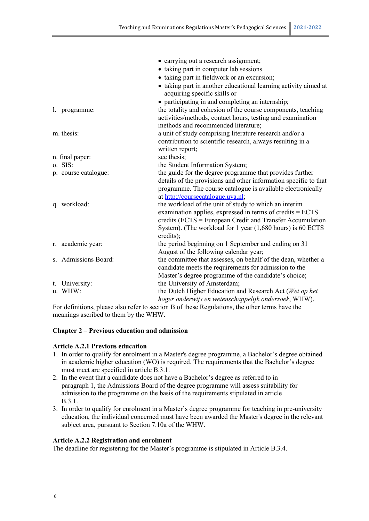|                      | • carrying out a research assignment;                            |
|----------------------|------------------------------------------------------------------|
|                      | • taking part in computer lab sessions                           |
|                      | • taking part in fieldwork or an excursion;                      |
|                      | • taking part in another educational learning activity aimed at  |
|                      | acquiring specific skills or                                     |
|                      | • participating in and completing an internship;                 |
| l. programme:        | the totality and cohesion of the course components, teaching     |
|                      | activities/methods, contact hours, testing and examination       |
|                      | methods and recommended literature;                              |
| m. thesis:           | a unit of study comprising literature research and/or a          |
|                      | contribution to scientific research, always resulting in a       |
|                      | written report;                                                  |
| n. final paper:      | see thesis;                                                      |
| o. SIS:              | the Student Information System;                                  |
| p. course catalogue: | the guide for the degree programme that provides further         |
|                      | details of the provisions and other information specific to that |
|                      | programme. The course catalogue is available electronically      |
|                      | at http://coursecatalogue.uva.nl;                                |
| q. workload:         | the workload of the unit of study to which an interim            |
|                      | examination applies, expressed in terms of credits = ECTS        |
|                      | credits (ECTS = European Credit and Transfer Accumulation        |
|                      | System). (The workload for 1 year (1,680 hours) is 60 ECTS       |
|                      | credits);                                                        |
| r. academic year:    | the period beginning on 1 September and ending on 31             |
|                      | August of the following calendar year;                           |
| s. Admissions Board: | the committee that assesses, on behalf of the dean, whether a    |
|                      | candidate meets the requirements for admission to the            |
|                      | Master's degree programme of the candidate's choice;             |
| t. University:       | the University of Amsterdam;                                     |
| u. WHW:              | the Dutch Higher Education and Research Act (Wet op het          |
|                      | hoger onderwijs en wetenschappelijk onderzoek, WHW).             |

For definitions, please also refer to section B of these Regulations, the other terms have the meanings ascribed to them by the WHW.

#### **Chapter 2 – Previous education and admission**

#### **Article A.2.1 Previous education**

- 1. In order to qualify for enrolment in a Master's degree programme, a Bachelor's degree obtained in academic higher education (WO) is required. The requirements that the Bachelor's degree must meet are specified in article B.3.1.
- 2. In the event that a candidate does not have a Bachelor's degree as referred to in paragraph 1, the Admissions Board of the degree programme will assess suitability for admission to the programme on the basis of the requirements stipulated in article B.3.1.
- 3. In order to qualify for enrolment in a Master's degree programme for teaching in pre-university education, the individual concerned must have been awarded the Master's degree in the relevant subject area, pursuant to Section 7.10a of the WHW.

#### **Article A.2.2 Registration and enrolment**

The deadline for registering for the Master's programme is stipulated in Article B.3.4.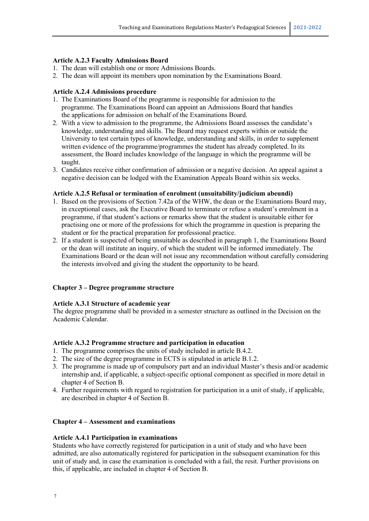#### **Article A.2.3 Faculty Admissions Board**

- 1. The dean will establish one or more Admissions Boards.
- 2. The dean will appoint its members upon nomination by the Examinations Board.

#### **Article A.2.4 Admissions procedure**

- 1. The Examinations Board of the programme is responsible for admission to the programme. The Examinations Board can appoint an Admissions Board that handles the applications for admission on behalf of the Examinations Board.
- 2. With a view to admission to the programme, the Admissions Board assesses the candidate's knowledge, understanding and skills. The Board may request experts within or outside the University to test certain types of knowledge, understanding and skills, in order to supplement written evidence of the programme/programmes the student has already completed. In its assessment, the Board includes knowledge of the language in which the programme will be taught.
- 3. Candidates receive either confirmation of admission or a negative decision. An appeal against a negative decision can be lodged with the Examination Appeals Board within six weeks.

#### **Article A.2.5 Refusal or termination of enrolment (unsuitability/judicium abeundi)**

- 1. Based on the provisions of Section 7.42a of the WHW, the dean or the Examinations Board may, in exceptional cases, ask the Executive Board to terminate or refuse a student's enrolment in a programme, if that student's actions or remarks show that the student is unsuitable either for practising one or more of the professions for which the programme in question is preparing the student or for the practical preparation for professional practice.
- 2. If a student is suspected of being unsuitable as described in paragraph 1, the Examinations Board or the dean will institute an inquiry, of which the student will be informed immediately. The Examinations Board or the dean will not issue any recommendation without carefully considering the interests involved and giving the student the opportunity to be heard.

#### **Chapter 3 – Degree programme structure**

#### **Article A.3.1 Structure of academic year**

The degree programme shall be provided in a semester structure as outlined in the Decision on the Academic Calendar.

#### **Article A.3.2 Programme structure and participation in education**

- 1. The programme comprises the units of study included in article B.4.2.
- 2. The size of the degree programme in ECTS is stipulated in article B.1.2.
- 3. The programme is made up of compulsory part and an individual Master's thesis and/or academic internship and, if applicable, a subject-specific optional component as specified in more detail in chapter 4 of Section B.
- 4. Further requirements with regard to registration for participation in a unit of study, if applicable, are described in chapter 4 of Section B.

#### **Chapter 4 – Assessment and examinations**

#### **Article A.4.1 Participation in examinations**

Students who have correctly registered for participation in a unit of study and who have been admitted, are also automatically registered for participation in the subsequent examination for this unit of study and, in case the examination is concluded with a fail, the resit. Further provisions on this, if applicable, are included in chapter 4 of Section B.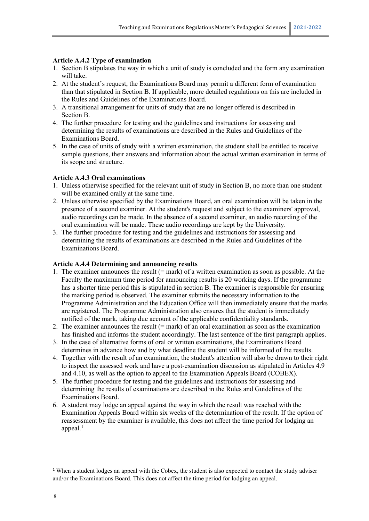#### **Article A.4.2 Type of examination**

- 1. Section B stipulates the way in which a unit of study is concluded and the form any examination will take.
- 2. At the student's request, the Examinations Board may permit a different form of examination than that stipulated in Section B. If applicable, more detailed regulations on this are included in the Rules and Guidelines of the Examinations Board.
- 3. A transitional arrangement for units of study that are no longer offered is described in Section B.
- 4. The further procedure for testing and the guidelines and instructions for assessing and determining the results of examinations are described in the Rules and Guidelines of the Examinations Board.
- 5. In the case of units of study with a written examination, the student shall be entitled to receive sample questions, their answers and information about the actual written examination in terms of its scope and structure.

#### **Article A.4.3 Oral examinations**

- 1. Unless otherwise specified for the relevant unit of study in Section B, no more than one student will be examined orally at the same time.
- 2. Unless otherwise specified by the Examinations Board, an oral examination will be taken in the presence of a second examiner. At the student's request and subject to the examiners' approval, audio recordings can be made. In the absence of a second examiner, an audio recording of the oral examination will be made. These audio recordings are kept by the University.
- 3. The further procedure for testing and the guidelines and instructions for assessing and determining the results of examinations are described in the Rules and Guidelines of the Examinations Board.

#### **Article A.4.4 Determining and announcing results**

- 1. The examiner announces the result  $(=$  mark) of a written examination as soon as possible. At the Faculty the maximum time period for announcing results is 20 working days. If the programme has a shorter time period this is stipulated in section B. The examiner is responsible for ensuring the marking period is observed. The examiner submits the necessary information to the Programme Administration and the Education Office will then immediately ensure that the marks are registered. The Programme Administration also ensures that the student is immediately notified of the mark, taking due account of the applicable confidentiality standards.
- 2. The examiner announces the result (= mark) of an oral examination as soon as the examination has finished and informs the student accordingly. The last sentence of the first paragraph applies.
- 3. In the case of alternative forms of oral or written examinations, the Examinations Board determines in advance how and by what deadline the student will be informed of the results.
- 4. Together with the result of an examination, the student's attention will also be drawn to their right to inspect the assessed work and have a post-examination discussion as stipulated in Articles 4.9 and 4.10, as well as the option to appeal to the Examination Appeals Board (COBEX).
- 5. The further procedure for testing and the guidelines and instructions for assessing and determining the results of examinations are described in the Rules and Guidelines of the Examinations Board.
- 6. A student may lodge an appeal against the way in which the result was reached with the Examination Appeals Board within six weeks of the determination of the result. If the option of reassessment by the examiner is available, this does not affect the time period for lodging an appeal. $<sup>1</sup>$  $<sup>1</sup>$  $<sup>1</sup>$ </sup>

<span id="page-7-0"></span><sup>&</sup>lt;sup>1</sup> When a student lodges an appeal with the Cobex, the student is also expected to contact the study adviser and/or the Examinations Board. This does not affect the time period for lodging an appeal.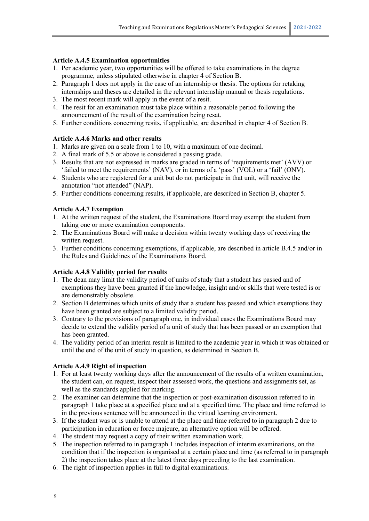#### **Article A.4.5 Examination opportunities**

- 1. Per academic year, two opportunities will be offered to take examinations in the degree programme, unless stipulated otherwise in chapter 4 of Section B.
- 2. Paragraph 1 does not apply in the case of an internship or thesis. The options for retaking internships and theses are detailed in the relevant internship manual or thesis regulations.
- 3. The most recent mark will apply in the event of a resit.
- 4. The resit for an examination must take place within a reasonable period following the announcement of the result of the examination being resat.
- 5. Further conditions concerning resits, if applicable, are described in chapter 4 of Section B.

#### **Article A.4.6 Marks and other results**

- 1. Marks are given on a scale from 1 to 10, with a maximum of one decimal.
- 2. A final mark of 5.5 or above is considered a passing grade.
- 3. Results that are not expressed in marks are graded in terms of 'requirements met' (AVV) or 'failed to meet the requirements' (NAV), or in terms of a 'pass' (VOL) or a 'fail' (ONV).
- 4. Students who are registered for a unit but do not participate in that unit, will receive the annotation "not attended" (NAP).
- 5. Further conditions concerning results, if applicable, are described in Section B, chapter 5.

#### **Article A.4.7 Exemption**

- 1. At the written request of the student, the Examinations Board may exempt the student from taking one or more examination components.
- 2. The Examinations Board will make a decision within twenty working days of receiving the written request.
- 3. Further conditions concerning exemptions, if applicable, are described in article B.4.5 and/or in the Rules and Guidelines of the Examinations Board.

#### **Article A.4.8 Validity period for results**

- 1. The dean may limit the validity period of units of study that a student has passed and of exemptions they have been granted if the knowledge, insight and/or skills that were tested is or are demonstrably obsolete.
- 2. Section B determines which units of study that a student has passed and which exemptions they have been granted are subject to a limited validity period.
- 3. Contrary to the provisions of paragraph one, in individual cases the Examinations Board may decide to extend the validity period of a unit of study that has been passed or an exemption that has been granted.
- 4. The validity period of an interim result is limited to the academic year in which it was obtained or until the end of the unit of study in question, as determined in Section B.

#### **Article A.4.9 Right of inspection**

- 1. For at least twenty working days after the announcement of the results of a written examination, the student can, on request, inspect their assessed work, the questions and assignments set, as well as the standards applied for marking.
- 2. The examiner can determine that the inspection or post-examination discussion referred to in paragraph 1 take place at a specified place and at a specified time. The place and time referred to in the previous sentence will be announced in the virtual learning environment.
- 3. If the student was or is unable to attend at the place and time referred to in paragraph 2 due to participation in education or force majeure, an alternative option will be offered.
- 4. The student may request a copy of their written examination work.
- 5. The inspection referred to in paragraph 1 includes inspection of interim examinations, on the condition that if the inspection is organised at a certain place and time (as referred to in paragraph 2) the inspection takes place at the latest three days preceding to the last examination.
- 6. The right of inspection applies in full to digital examinations.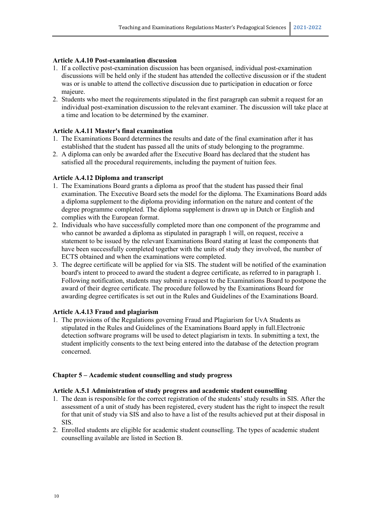#### **Article A.4.10 Post-examination discussion**

- 1. If a collective post-examination discussion has been organised, individual post-examination discussions will be held only if the student has attended the collective discussion or if the student was or is unable to attend the collective discussion due to participation in education or force majeure.
- 2. Students who meet the requirements stipulated in the first paragraph can submit a request for an individual post-examination discussion to the relevant examiner. The discussion will take place at a time and location to be determined by the examiner.

#### **Article A.4.11 Master's final examination**

- 1. The Examinations Board determines the results and date of the final examination after it has established that the student has passed all the units of study belonging to the programme.
- 2. A diploma can only be awarded after the Executive Board has declared that the student has satisfied all the procedural requirements, including the payment of tuition fees.

#### **Article A.4.12 Diploma and transcript**

- 1. The Examinations Board grants a diploma as proof that the student has passed their final examination. The Executive Board sets the model for the diploma. The Examinations Board adds a diploma supplement to the diploma providing information on the nature and content of the degree programme completed. The diploma supplement is drawn up in Dutch or English and complies with the European format.
- 2. Individuals who have successfully completed more than one component of the programme and who cannot be awarded a diploma as stipulated in paragraph 1 will, on request, receive a statement to be issued by the relevant Examinations Board stating at least the components that have been successfully completed together with the units of study they involved, the number of ECTS obtained and when the examinations were completed.
- 3. The degree certificate will be applied for via SIS. The student will be notified of the examination board's intent to proceed to award the student a degree certificate, as referred to in paragraph 1. Following notification, students may submit a request to the Examinations Board to postpone the award of their degree certificate. The procedure followed by the Examinations Board for awarding degree certificates is set out in the Rules and Guidelines of the Examinations Board.

#### **Article A.4.13 Fraud and plagiarism**

1. The provisions of the Regulations governing Fraud and Plagiarism for UvA Students as stipulated in the Rules and Guidelines of the Examinations Board apply in full.Electronic detection software programs will be used to detect plagiarism in texts. In submitting a text, the student implicitly consents to the text being entered into the database of the detection program concerned.

#### **Chapter 5 – Academic student counselling and study progress**

#### **Article A.5.1 Administration of study progress and academic student counselling**

- 1. The dean is responsible for the correct registration of the students' study results in SIS. After the assessment of a unit of study has been registered, every student has the right to inspect the result for that unit of study via SIS and also to have a list of the results achieved put at their disposal in SIS.
- 2. Enrolled students are eligible for academic student counselling. The types of academic student counselling available are listed in Section B.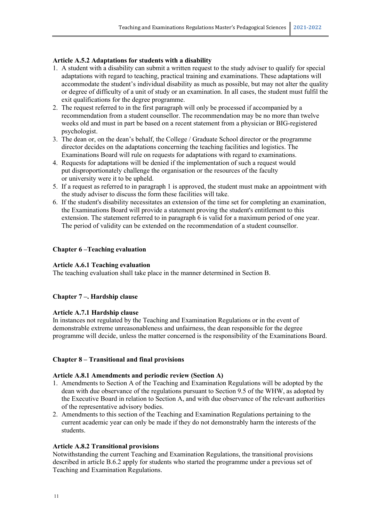#### **Article A.5.2 Adaptations for students with a disability**

- 1. A student with a disability can submit a written request to the study adviser to qualify for special adaptations with regard to teaching, practical training and examinations. These adaptations will accommodate the student's individual disability as much as possible, but may not alter the quality or degree of difficulty of a unit of study or an examination. In all cases, the student must fulfil the exit qualifications for the degree programme.
- 2. The request referred to in the first paragraph will only be processed if accompanied by a recommendation from a student counsellor. The recommendation may be no more than twelve weeks old and must in part be based on a recent statement from a physician or BIG-registered psychologist.
- 3. The dean or, on the dean's behalf, the College / Graduate School director or the programme director decides on the adaptations concerning the teaching facilities and logistics. The Examinations Board will rule on requests for adaptations with regard to examinations.
- 4. Requests for adaptations will be denied if the implementation of such a request would put disproportionately challenge the organisation or the resources of the faculty or university were it to be upheld.
- 5. If a request as referred to in paragraph 1 is approved, the student must make an appointment with the study adviser to discuss the form these facilities will take.
- 6. If the student's disability necessitates an extension of the time set for completing an examination, the Examinations Board will provide a statement proving the student's entitlement to this extension. The statement referred to in paragraph 6 is valid for a maximum period of one year. The period of validity can be extended on the recommendation of a student counsellor.

#### **Chapter 6 –Teaching evaluation**

#### **Article A.6.1 Teaching evaluation**

The teaching evaluation shall take place in the manner determined in Section B.

#### **Chapter 7 –. Hardship clause**

#### **Article A.7.1 Hardship clause**

In instances not regulated by the Teaching and Examination Regulations or in the event of demonstrable extreme unreasonableness and unfairness, the dean responsible for the degree programme will decide, unless the matter concerned is the responsibility of the Examinations Board.

#### **Chapter 8 – Transitional and final provisions**

#### **Article A.8.1 Amendments and periodic review (Section A)**

- 1. Amendments to Section A of the Teaching and Examination Regulations will be adopted by the dean with due observance of the regulations pursuant to Section 9.5 of the WHW, as adopted by the Executive Board in relation to Section A, and with due observance of the relevant authorities of the representative advisory bodies.
- 2. Amendments to this section of the Teaching and Examination Regulations pertaining to the current academic year can only be made if they do not demonstrably harm the interests of the students.

#### **Article A.8.2 Transitional provisions**

Notwithstanding the current Teaching and Examination Regulations, the transitional provisions described in article B.6.2 apply for students who started the programme under a previous set of Teaching and Examination Regulations.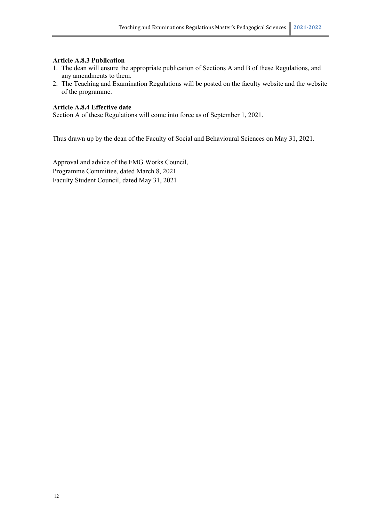#### **Article A.8.3 Publication**

- 1. The dean will ensure the appropriate publication of Sections A and B of these Regulations, and any amendments to them.
- 2. The Teaching and Examination Regulations will be posted on the faculty website and the website of the programme.

#### **Article A.8.4 Effective date**

Section A of these Regulations will come into force as of September 1, 2021.

Thus drawn up by the dean of the Faculty of Social and Behavioural Sciences on May 31, 2021.

Approval and advice of the FMG Works Council, Programme Committee, dated March 8, 2021 Faculty Student Council, dated May 31, 2021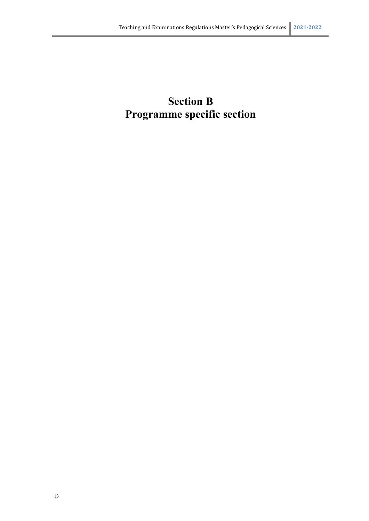# **Section B Programme specific section**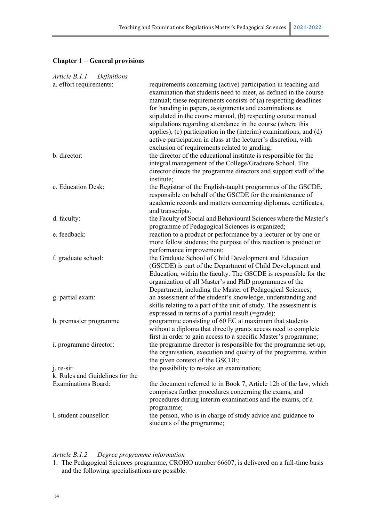### **Chapter 1** – **General provisions**

| <i>Article B.1.1</i><br>Definitions                           |                                                                                                                                                                                                                                                                                                                                                                                                                                                                                                                                                                                            |
|---------------------------------------------------------------|--------------------------------------------------------------------------------------------------------------------------------------------------------------------------------------------------------------------------------------------------------------------------------------------------------------------------------------------------------------------------------------------------------------------------------------------------------------------------------------------------------------------------------------------------------------------------------------------|
| a. effort requirements:                                       | requirements concerning (active) participation in teaching and<br>examination that students need to meet, as defined in the course<br>manual; these requirements consists of (a) respecting deadlines<br>for handing in papers, assignments and examinations as<br>stipulated in the course manual, (b) respecting course manual<br>stipulations regarding attendance in the course (where this<br>applies), (c) participation in the (interim) examinations, and (d)<br>active participation in class at the lecturer's discretion, with<br>exclusion of requirements related to grading; |
| b. director:                                                  | the director of the educational institute is responsible for the<br>integral management of the College/Graduate School. The<br>director directs the programme directors and support staff of the<br>institute;                                                                                                                                                                                                                                                                                                                                                                             |
| c. Education Desk:                                            | the Registrar of the English-taught programmes of the GSCDE,<br>responsible on behalf of the GSCDE for the maintenance of<br>academic records and matters concerning diplomas, certificates,<br>and transcripts.                                                                                                                                                                                                                                                                                                                                                                           |
| d. faculty:                                                   | the Faculty of Social and Behavioural Sciences where the Master's<br>programme of Pedagogical Sciences is organized;                                                                                                                                                                                                                                                                                                                                                                                                                                                                       |
| e. feedback:                                                  | reaction to a product or performance by a lecturer or by one or<br>more fellow students; the purpose of this reaction is product or<br>performance improvement;                                                                                                                                                                                                                                                                                                                                                                                                                            |
| f. graduate school:                                           | the Graduate School of Child Development and Education<br>(GSCDE) is part of the Department of Child Development and<br>Education, within the faculty. The GSCDE is responsible for the<br>organization of all Master's and PhD programmes of the<br>Department, including the Master of Pedagogical Sciences;                                                                                                                                                                                                                                                                             |
| g. partial exam:                                              | an assessment of the student's knowledge, understanding and<br>skills relating to a part of the unit of study. The assessment is<br>expressed in terms of a partial result (=grade);                                                                                                                                                                                                                                                                                                                                                                                                       |
| h. premaster programme                                        | programme consisting of 60 EC at maximum that students<br>without a diploma that directly grants access need to complete<br>first in order to gain access to a specific Master's programme;                                                                                                                                                                                                                                                                                                                                                                                                |
| i. programme director:                                        | the programme director is responsible for the programme set-up,<br>the organisation, execution and quality of the programme, within<br>the given context of the GSCDE;                                                                                                                                                                                                                                                                                                                                                                                                                     |
| j. re-sit:                                                    | the possibility to re-take an examination;                                                                                                                                                                                                                                                                                                                                                                                                                                                                                                                                                 |
| k. Rules and Guidelines for the<br><b>Examinations Board:</b> | the document referred to in Book 7, Article 12b of the law, which<br>comprises further procedures concerning the exams, and<br>procedures during interim examinations and the exams, of a                                                                                                                                                                                                                                                                                                                                                                                                  |
| l. student counsellor:                                        | programme;<br>the person, who is in charge of study advice and guidance to<br>students of the programme;                                                                                                                                                                                                                                                                                                                                                                                                                                                                                   |

#### *Article B.1.2 Degree programme information*

<sup>1.</sup> The Pedagogical Sciences programme, CROHO number 66607, is delivered on a full-time basis and the following specialisations are possible: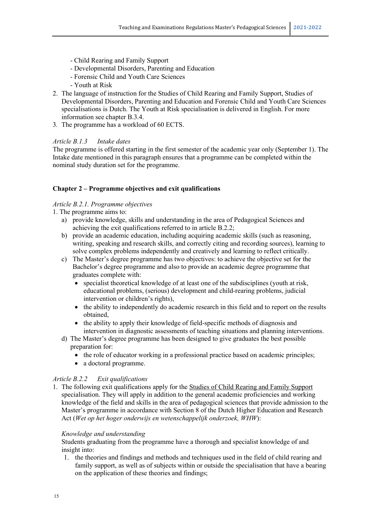- Child Rearing and Family Support
- Developmental Disorders, Parenting and Education
- Forensic Child and Youth Care Sciences
- Youth at Risk
- 2. The language of instruction for the Studies of Child Rearing and Family Support, Studies of Developmental Disorders, Parenting and Education and Forensic Child and Youth Care Sciences specialisations is Dutch. The Youth at Risk specialisation is delivered in English. For more information see chapter B.3.4.
- 3*.* The programme has a workload of 60 ECTS.

#### *Article B.1.3 Intake dates*

The programme is offered starting in the first semester of the academic year only (September 1). The Intake date mentioned in this paragraph ensures that a programme can be completed within the nominal study duration set for the programme.

#### **Chapter 2 – Programme objectives and exit qualifications**

#### *Article B.2.1. Programme objectives*

- 1. The programme aims to:
	- a) provide knowledge, skills and understanding in the area of Pedagogical Sciences and achieving the exit qualifications referred to in article B.2.2;
	- b) provide an academic education, including acquiring academic skills (such as reasoning, writing, speaking and research skills, and correctly citing and recording sources), learning to solve complex problems independently and creatively and learning to reflect critically.
	- c) The Master's degree programme has two objectives: to achieve the objective set for the Bachelor's degree programme and also to provide an academic degree programme that graduates complete with:
		- specialist theoretical knowledge of at least one of the subdisciplines (youth at risk, educational problems, (serious) development and child-rearing problems, judicial intervention or children's rights),
		- the ability to independently do academic research in this field and to report on the results obtained,
		- the ability to apply their knowledge of field-specific methods of diagnosis and intervention in diagnostic assessments of teaching situations and planning interventions.
	- d) The Master's degree programme has been designed to give graduates the best possible preparation for:
		- the role of educator working in a professional practice based on academic principles;
		- a doctoral programme.

#### *Article B.2.2 Exit qualifications*

1. The following exit qualifications apply for the Studies of Child Rearing and Family Support specialisation. They will apply in addition to the general academic proficiencies and working knowledge of the field and skills in the area of pedagogical sciences that provide admission to the Master's programme in accordance with Section 8 of the Dutch Higher Education and Research Act (*Wet op het hoger onderwijs en wetenschappelijk onderzoek, WHW*):

#### *Knowledge and understanding*

Students graduating from the programme have a thorough and specialist knowledge of and insight into:

1. the theories and findings and methods and techniques used in the field of child rearing and family support, as well as of subjects within or outside the specialisation that have a bearing on the application of these theories and findings;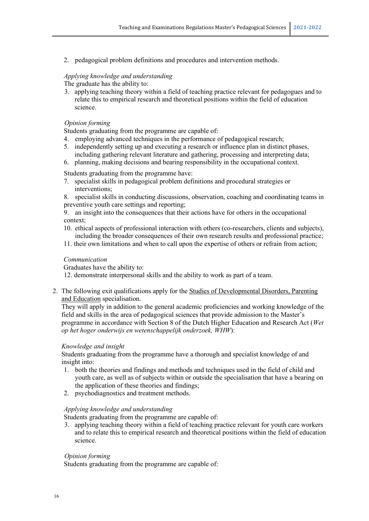2. pedagogical problem definitions and procedures and intervention methods.

#### *Applying knowledge and understanding*

The graduate has the ability to:

3. applying teaching theory within a field of teaching practice relevant for pedagogues and to relate this to empirical research and theoretical positions within the field of education science.

#### *Opinion forming*

Students graduating from the programme are capable of:

- 4. employing advanced techniques in the performance of pedagogical research;
- 5. independently setting up and executing a research or influence plan in distinct phases, including gathering relevant literature and gathering, processing and interpreting data;
- 6. planning, making decisions and bearing responsibility in the occupational context.

Students graduating from the programme have:

- 7. specialist skills in pedagogical problem definitions and procedural strategies or interventions;
- 8. specialist skills in conducting discussions, observation, coaching and coordinating teams in preventive youth care settings and reporting;

9. an insight into the consequences that their actions have for others in the occupational context;

- 10. ethical aspects of professional interaction with others (co-researchers, clients and subjects), including the broader consequences of their own research results and professional practice;
- 11. their own limitations and when to call upon the expertise of others or refrain from action;

#### *Communication*

Graduates have the ability to:

12. demonstrate interpersonal skills and the ability to work as part of a team.

2. The following exit qualifications apply for the Studies of Developmental Disorders, Parenting and Education specialisation.

They will apply in addition to the general academic proficiencies and working knowledge of the field and skills in the area of pedagogical sciences that provide admission to the Master's programme in accordance with Section 8 of the Dutch Higher Education and Research Act (*Wet op het hoger onderwijs en wetenschappelijk onderzoek, WHW*):

#### *Knowledge and insight*

Students graduating from the programme have a thorough and specialist knowledge of and insight into:

- 1. both the theories and findings and methods and techniques used in the field of child and youth care, as well as of subjects within or outside the specialisation that have a bearing on the application of these theories and findings;
- 2. psychodiagnostics and treatment methods.

#### *Applying knowledge and understanding*

Students graduating from the programme are capable of:

3. applying teaching theory within a field of teaching practice relevant for youth care workers and to relate this to empirical research and theoretical positions within the field of education science.

#### *Opinion forming*

Students graduating from the programme are capable of: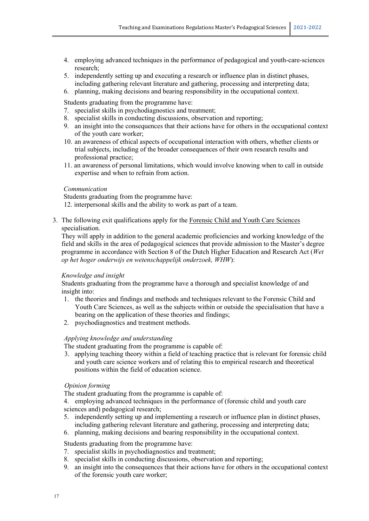- 4. employing advanced techniques in the performance of pedagogical and youth-care-sciences research;
- 5. independently setting up and executing a research or influence plan in distinct phases, including gathering relevant literature and gathering, processing and interpreting data;
- 6. planning, making decisions and bearing responsibility in the occupational context.

Students graduating from the programme have:

- 7. specialist skills in psychodiagnostics and treatment;
- 8. specialist skills in conducting discussions, observation and reporting;
- 9. an insight into the consequences that their actions have for others in the occupational context of the youth care worker;
- 10. an awareness of ethical aspects of occupational interaction with others, whether clients or trial subjects, including of the broader consequences of their own research results and professional practice;
- 11. an awareness of personal limitations, which would involve knowing when to call in outside expertise and when to refrain from action.

#### *Communication*

Students graduating from the programme have:

12. interpersonal skills and the ability to work as part of a team.

3. The following exit qualifications apply for the Forensic Child and Youth Care Sciences specialisation.

They will apply in addition to the general academic proficiencies and working knowledge of the field and skills in the area of pedagogical sciences that provide admission to the Master's degree programme in accordance with Section 8 of the Dutch Higher Education and Research Act (*Wet op het hoger onderwijs en wetenschappelijk onderzoek, WHW*):

#### *Knowledge and insight*

Students graduating from the programme have a thorough and specialist knowledge of and insight into:

- 1. the theories and findings and methods and techniques relevant to the Forensic Child and Youth Care Sciences, as well as the subjects within or outside the specialisation that have a bearing on the application of these theories and findings;
- 2. psychodiagnostics and treatment methods.

#### *Applying knowledge and understanding*

The student graduating from the programme is capable of:

3. applying teaching theory within a field of teaching practice that is relevant for forensic child and youth care science workers and of relating this to empirical research and theoretical positions within the field of education science.

#### *Opinion forming*

The student graduating from the programme is capable of:

4. employing advanced techniques in the performance of (forensic child and youth care sciences and) pedagogical research;

5. independently setting up and implementing a research or influence plan in distinct phases, including gathering relevant literature and gathering, processing and interpreting data;

6. planning, making decisions and bearing responsibility in the occupational context.

Students graduating from the programme have:

- 7. specialist skills in psychodiagnostics and treatment;
- 8. specialist skills in conducting discussions, observation and reporting;
- 9. an insight into the consequences that their actions have for others in the occupational context of the forensic youth care worker;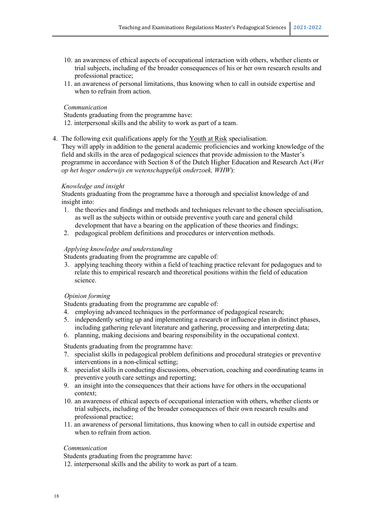- 10. an awareness of ethical aspects of occupational interaction with others, whether clients or trial subjects, including of the broader consequences of his or her own research results and professional practice;
- 11. an awareness of personal limitations, thus knowing when to call in outside expertise and when to refrain from action.

#### *Communication*

Students graduating from the programme have:

- 12. interpersonal skills and the ability to work as part of a team.
- 4. The following exit qualifications apply for the Youth at Risk specialisation.

They will apply in addition to the general academic proficiencies and working knowledge of the field and skills in the area of pedagogical sciences that provide admission to the Master's programme in accordance with Section 8 of the Dutch Higher Education and Research Act (*Wet op het hoger onderwijs en wetenschappelijk onderzoek, WHW*):

#### *Knowledge and insight*

Students graduating from the programme have a thorough and specialist knowledge of and insight into:

- 1. the theories and findings and methods and techniques relevant to the chosen specialisation, as well as the subjects within or outside preventive youth care and general child development that have a bearing on the application of these theories and findings;
- 2. pedagogical problem definitions and procedures or intervention methods.

#### *Applying knowledge and understanding*

Students graduating from the programme are capable of:

3. applying teaching theory within a field of teaching practice relevant for pedagogues and to relate this to empirical research and theoretical positions within the field of education science.

#### *Opinion forming*

Students graduating from the programme are capable of:

- 4. employing advanced techniques in the performance of pedagogical research;
- 5. independently setting up and implementing a research or influence plan in distinct phases, including gathering relevant literature and gathering, processing and interpreting data;
- 6. planning, making decisions and bearing responsibility in the occupational context.

Students graduating from the programme have:

- 7. specialist skills in pedagogical problem definitions and procedural strategies or preventive interventions in a non-clinical setting;
- 8. specialist skills in conducting discussions, observation, coaching and coordinating teams in preventive youth care settings and reporting;
- 9. an insight into the consequences that their actions have for others in the occupational context;
- 10. an awareness of ethical aspects of occupational interaction with others, whether clients or trial subjects, including of the broader consequences of their own research results and professional practice;
- 11. an awareness of personal limitations, thus knowing when to call in outside expertise and when to refrain from action.

#### *Communication*

Students graduating from the programme have:

12. interpersonal skills and the ability to work as part of a team.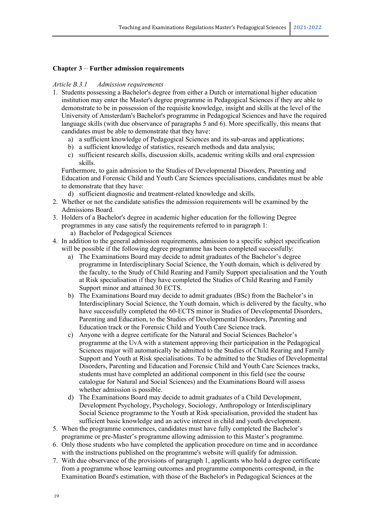#### **Chapter 3** – **Further admission requirements**

#### *Article B.3.1 Admission requirements*

- 1. Students possessing a Bachelor's degree from either a Dutch or international higher education institution may enter the Master's degree programme in Pedagogical Sciences if they are able to demonstrate to be in possession of the requisite knowledge, insight and skills at the level of the University of Amsterdam's Bachelor's programme in Pedagogical Sciences and have the required language skills (with due observance of paragraphs 5 and 6). More specifically, this means that candidates must be able to demonstrate that they have:
	- a) a sufficient knowledge of Pedagogical Sciences and its sub-areas and applications;
	- b) a sufficient knowledge of statistics, research methods and data analysis;
	- c) sufficient research skills, discussion skills, academic writing skills and oral expression skills.

Furthermore, to gain admission to the Studies of Developmental Disorders, Parenting and Education and Forensic Child and Youth Care Sciences specialisations, candidates must be able to demonstrate that they have:

- d) sufficient diagnostic and treatment-related knowledge and skills.
- 2. Whether or not the candidate satisfies the admission requirements will be examined by the Admissions Board.
- 3. Holders of a Bachelor's degree in academic higher education for the following Degree programmes in any case satisfy the requirements referred to in paragraph 1:
	- a) Bachelor of Pedagogical Sciences
- 4. In addition to the general admission requirements, admission to a specific subject specification will be possible if the following degree programme has been completed successfully:
	- a) The Examinations Board may decide to admit graduates of the Bachelor's degree programme in Interdisciplinary Social Science, the Youth domain, which is delivered by the faculty, to the Study of Child Rearing and Family Support specialisation and the Youth at Risk specialisation if they have completed the Studies of Child Rearing and Family Support minor and attained 30 ECTS.
	- b) The Examinations Board may decide to admit graduates (BSc) from the Bachelor's in Interdisciplinary Social Science, the Youth domain, which is delivered by the faculty, who have successfully completed the 60-ECTS minor in Studies of Developmental Disorders, Parenting and Education, to the Studies of Developmental Disorders, Parenting and Education track or the Forensic Child and Youth Care Science track.
	- c) Anyone with a degree certificate for the Natural and Social Sciences Bachelor's programme at the UvA with a statement approving their participation in the Pedagogical Sciences major will automatically be admitted to the Studies of Child Rearing and Family Support and Youth at Risk specialisations. To be admitted to the Studies of Developmental Disorders, Parenting and Education and Forensic Child and Youth Care Sciences tracks, students must have completed an additional component in this field (see the course catalogue for Natural and Social Sciences) and the Examinations Board will assess whether admission is possible.
	- d) The Examinations Board may decide to admit graduates of a Child Development, Development Psychology, Psychology, Sociology, Anthropology or Interdisciplinary Social Science programme to the Youth at Risk specialisation, provided the student has sufficient basic knowledge and an active interest in child and youth development.
- 5. When the programme commences, candidates must have fully completed the Bachelor's programme or pre-Master's programme allowing admission to this Master's programme.
- 6. Only those students who have completed the application procedure on time and in accordance with the instructions published on the programme's website will qualify for admission.
- 7. With due observance of the provisions of paragraph 1, applicants who hold a degree certificate from a programme whose learning outcomes and programme components correspond, in the Examination Board's estimation, with those of the Bachelor's in Pedagogical Sciences at the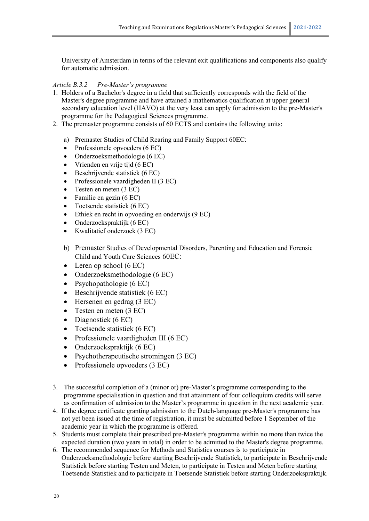University of Amsterdam in terms of the relevant exit qualifications and components also qualify for automatic admission.

#### *Article B.3.2 Pre-Master's programme*

- 1. Holders of a Bachelor's degree in a field that sufficiently corresponds with the field of the Master's degree programme and have attained a mathematics qualification at upper general secondary education level (HAVO) at the very least can apply for admission to the pre-Master's programme for the Pedagogical Sciences programme.
- 2. The premaster programme consists of 60 ECTS and contains the following units:
	- a) Premaster Studies of Child Rearing and Family Support 60EC:
	- Professionele opvoeders (6 EC)
	- Onderzoeksmethodologie (6 EC)
	- Vrienden en vrije tijd (6 EC)
	- Beschrijvende statistiek (6 EC)
	- Professionele vaardigheden II (3 EC)
	- Testen en meten (3 EC)
	- Familie en gezin (6 EC)
	- Toetsende statistiek (6 EC)
	- Ethiek en recht in opvoeding en onderwijs (9 EC)
	- Onderzoekspraktijk (6 EC)
	- Kwalitatief onderzoek (3 EC)
	- b) Premaster Studies of Developmental Disorders, Parenting and Education and Forensic Child and Youth Care Sciences 60EC:
	- Leren op school  $(6 \text{ EC})$
	- Onderzoeksmethodologie (6 EC)
	- Psychopathologie (6 EC)
	- Beschrijvende statistiek (6 EC)
	- Hersenen en gedrag (3 EC)
	- Testen en meten (3 EC)
	- Diagnostiek (6 EC)
	- Toetsende statistiek (6 EC)
	- Professionele vaardigheden III (6 EC)
	- Onderzoekspraktijk (6 EC)
	- Psychotherapeutische stromingen (3 EC)
	- Professionele opvoeders (3 EC)
- 3. The successful completion of a (minor or) pre-Master's programme corresponding to the programme specialisation in question and that attainment of four colloquium credits will serve as confirmation of admission to the Master's programme in question in the next academic year.
- 4. If the degree certificate granting admission to the Dutch-language pre-Master's programme has not yet been issued at the time of registration, it must be submitted before 1 September of the academic year in which the programme is offered.
- 5. Students must complete their prescribed pre-Master's programme within no more than twice the expected duration (two years in total) in order to be admitted to the Master's degree programme.
- 6. The recommended sequence for Methods and Statistics courses is to participate in Onderzoeksmethodologie before starting Beschrijvende Statistiek, to participate in Beschrijvende Statistiek before starting Testen and Meten, to participate in Testen and Meten before starting Toetsende Statistiek and to participate in Toetsende Statistiek before starting Onderzoekspraktijk.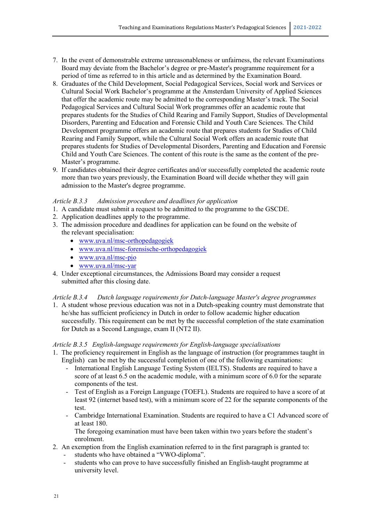- 7. In the event of demonstrable extreme unreasonableness or unfairness, the relevant Examinations Board may deviate from the Bachelor's degree or pre-Master's programme requirement for a period of time as referred to in this article and as determined by the Examination Board.
- 8. Graduates of the Child Development, Social Pedagogical Services, Social work and Services or Cultural Social Work Bachelor's programme at the Amsterdam University of Applied Sciences that offer the academic route may be admitted to the corresponding Master's track. The Social Pedagogical Services and Cultural Social Work programmes offer an academic route that prepares students for the Studies of Child Rearing and Family Support, Studies of Developmental Disorders, Parenting and Education and Forensic Child and Youth Care Sciences. The Child Development programme offers an academic route that prepares students for Studies of Child Rearing and Family Support, while the Cultural Social Work offers an academic route that prepares students for Studies of Developmental Disorders, Parenting and Education and Forensic Child and Youth Care Sciences. The content of this route is the same as the content of the pre-Master's programme.
- 9. If candidates obtained their degree certificates and/or successfully completed the academic route more than two years previously, the Examination Board will decide whether they will gain admission to the Master's degree programme.

#### *Article B.3.3 Admission procedure and deadlines for application*

- 1. A candidate must submit a request to be admitted to the programme to the GSCDE.
- 2. Application deadlines apply to the programme.
- 3. The admission procedure and deadlines for application can be found on the website of the relevant specialisation:
	- [www.uva.nl/msc-orthopedagogiek](http://www.uva.nl/msc-orthopedagogiek)
	- [www.uva.nl/msc-forensische-orthopedagogiek](http://www.uva.nl/msc-forensische-orthopedagogiek)
	- [www.uva.nl/msc-pjo](http://www.uva.nl/msc-pjo)
	- [www.uva.nl/msc-yar](http://www.uva.nl/msc-yar)
- 4. Under exceptional circumstances, the Admissions Board may consider a request submitted after this closing date.

#### *Article B.3.4 Dutch language requirements for Dutch-language Master's degree programmes*

1. A student whose previous education was not in a Dutch-speaking country must demonstrate that he/she has sufficient proficiency in Dutch in order to follow academic higher education successfully. This requirement can be met by the successful completion of the state examination for Dutch as a Second Language, exam II (NT2 II).

#### *Article B.3.5 English-language requirements for English-language specialisations*

- 1. The proficiency requirement in English as the language of instruction (for programmes taught in English) can be met by the successful completion of one of the following examinations:
	- International English Language Testing System (IELTS). Students are required to have a score of at least 6.5 on the academic module, with a minimum score of 6.0 for the separate components of the test.
	- Test of English as a Foreign Language (TOEFL). Students are required to have a score of at least 92 (internet based test), with a minimum score of 22 for the separate components of the test.
	- Cambridge International Examination. Students are required to have a C1 Advanced score of at least 180.

The foregoing examination must have been taken within two years before the student's enrolment.

- 2. An exemption from the English examination referred to in the first paragraph is granted to:
	- students who have obtained a "VWO-diploma".
	- students who can prove to have successfully finished an English-taught programme at university level.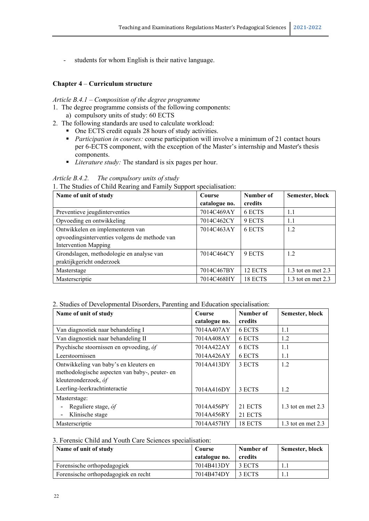students for whom English is their native language.

#### **Chapter 4** – **Curriculum structure**

#### *Article B.4.1 – Composition of the degree programme*

- 1. The degree programme consists of the following components: a) compulsory units of study: 60 ECTS
- 2. The following standards are used to calculate workload:
	- One ECTS credit equals 28 hours of study activities.
	- **Participation in courses: course participation will involve a minimum of 21 contact hours** per 6-ECTS component, with the exception of the Master's internship and Master's thesis components.
	- *Literature study:* The standard is six pages per hour.

#### *Article B.4.2. The compulsory units of study*

1. The Studies of Child Rearing and Family Support specialisation:

| Name of unit of study                         | Course        | Number of | Semester, block      |
|-----------------------------------------------|---------------|-----------|----------------------|
|                                               | catalogue no. | credits   |                      |
| Preventieve jeugdinterventies                 | 7014C469AY    | 6 ECTS    | 1.1                  |
| Opvoeding en ontwikkeling                     | 7014C462CY    | 9 ECTS    | 1.1                  |
| Ontwikkelen en implementeren van              | 7014C463AY    | 6 ECTS    | 1.2                  |
| opvoedingsinterventies volgens de methode van |               |           |                      |
| <b>Intervention Mapping</b>                   |               |           |                      |
| Grondslagen, methodologie en analyse van      | 7014C464CY    | 9 ECTS    | 1.2                  |
| praktijkgericht onderzoek                     |               |           |                      |
| Masterstage                                   | 7014C467BY    | 12 ECTS   | 1.3 tot en met $2.3$ |
| Masterscriptie                                | 7014C468HY    | 18 ECTS   | 1.3 tot en met $2.3$ |

#### 2. Studies of Developmental Disorders, Parenting and Education specialisation:

| Name of unit of study                          | Course        | Number of | Semester, block        |
|------------------------------------------------|---------------|-----------|------------------------|
|                                                | catalogue no. | credits   |                        |
| Van diagnostiek naar behandeling I             | 7014A407AY    | 6 ECTS    | 1.1                    |
| Van diagnostiek naar behandeling II            | 7014A408AY    | 6 ECTS    | 1.2                    |
| Psychische stoornissen en opvoeding, óf        | 7014A422AY    | 6 ECTS    | 1.1                    |
| Leerstoornissen                                | 7014A426AY    | 6 ECTS    | 1.1                    |
| Ontwikkeling van baby's en kleuters en         | 7014A413DY    | 3 ECTS    | 1.2                    |
| methodologische aspecten van baby-, peuter- en |               |           |                        |
| kleuteronderzoek, óf                           |               |           |                        |
| Leerling-leerkrachtinteractie                  | 7014A416DY    | 3 ECTS    | 1.2                    |
| Masterstage:                                   |               |           |                        |
| Reguliere stage, óf                            | 7014A456PY    | 21 ECTS   | $1.3$ tot en met $2.3$ |
| Klinische stage                                | 7014A456RY    | 21 ECTS   |                        |
| Masterscriptie                                 | 7014A457HY    | 18 ECTS   | $1.3$ tot en met $2.3$ |

#### 3. Forensic Child and Youth Care Sciences specialisation:

| Name of unit of study                | Course<br>catalogue no. | Number of<br>credits | Semester, block |
|--------------------------------------|-------------------------|----------------------|-----------------|
| Forensische orthopedagogiek          | 7014B413DY              | 3 ECTS               |                 |
| Forensische orthopedagogiek en recht | 7014B474DY              | 3 ECTS               |                 |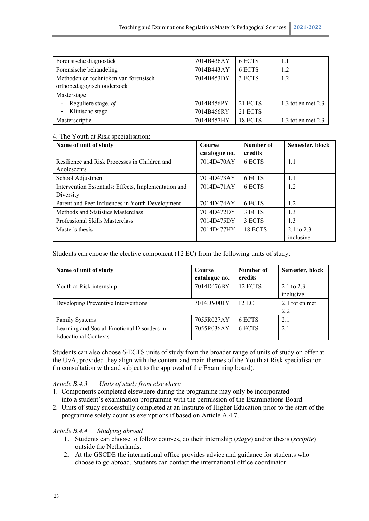| Forensische diagnostiek                         | 7014B436AY | 6 ECTS  | 1.1                    |
|-------------------------------------------------|------------|---------|------------------------|
| Forensische behandeling                         | 7014B443AY | 6 ECTS  | 1.2                    |
| Methoden en technieken van forensisch           | 7014B453DY | 3 ECTS  | 1.2                    |
| orthopedagogisch onderzoek                      |            |         |                        |
| Masterstage                                     |            |         |                        |
| Reguliere stage, óf<br>$\overline{\phantom{a}}$ | 7014B456PY | 21 ECTS | $1.3$ tot en met $2.3$ |
| Klinische stage<br>$\blacksquare$               | 7014B456RY | 21 ECTS |                        |
| Masterscriptie                                  | 7014B457HY | 18 ECTS | 1.3 tot en met $2.3$   |

#### 4. The Youth at Risk specialisation:

| Name of unit of study                                             | Course<br>catalogue no. | Number of<br>credits | Semester, block           |
|-------------------------------------------------------------------|-------------------------|----------------------|---------------------------|
| Resilience and Risk Processes in Children and<br>Adolescents      | 7014D470AY              | 6 ECTS               | 1.1                       |
| School Adjustment                                                 | 7014D473AY              | 6 ECTS               | 1.1                       |
| Intervention Essentials: Effects, Implementation and<br>Diversity | 7014D471AY              | 6 ECTS               | 1.2                       |
| Parent and Peer Influences in Youth Development                   | 7014D474AY              | 6 ECTS               | 1.2                       |
| Methods and Statistics Masterclass                                | 7014D472DY              | 3 ECTS               | 1.3                       |
| Professional Skills Masterclass                                   | 7014D475DY              | 3 ECTS               | 1.3                       |
| Master's thesis                                                   | 7014D477HY              | 18 ECTS              | 2.1 to $2.3$<br>inclusive |

Students can choose the elective component (12 EC) from the following units of study:

| Name of unit of study                      | Course        | Number of | Semester, block  |
|--------------------------------------------|---------------|-----------|------------------|
|                                            | catalogue no. | credits   |                  |
| Youth at Risk internship                   | 7014D476BY    | 12 ECTS   | 2.1 to 2.3       |
|                                            |               |           | inclusive        |
| Developing Preventive Interventions        | 7014DV001Y    | 12 EC     | $2,1$ tot en met |
|                                            |               |           | 2,2              |
| <b>Family Systems</b>                      | 7055R027AY    | 6 ECTS    | 2.1              |
| Learning and Social-Emotional Disorders in | 7055R036AY    | 6 ECTS    | 2.1              |
| <b>Educational Contexts</b>                |               |           |                  |

Students can also choose 6-ECTS units of study from the broader range of units of study on offer at the UvA, provided they align with the content and main themes of the Youth at Risk specialisation (in consultation with and subject to the approval of the Examining board).

#### *Article B.4.3. Units of study from elsewhere*

- 1. Components completed elsewhere during the programme may only be incorporated into a student's examination programme with the permission of the Examinations Board.
- 2. Units of study successfully completed at an Institute of Higher Education prior to the start of the programme solely count as exemptions if based on Article A.4.7.

#### *Article B.4.4 Studying abroad*

- 1. Students can choose to follow courses, do their internship (*stage*) and/or thesis (*scriptie*) outside the Netherlands.
- 2. At the GSCDE the international office provides advice and guidance for students who choose to go abroad. Students can contact the international office coordinator.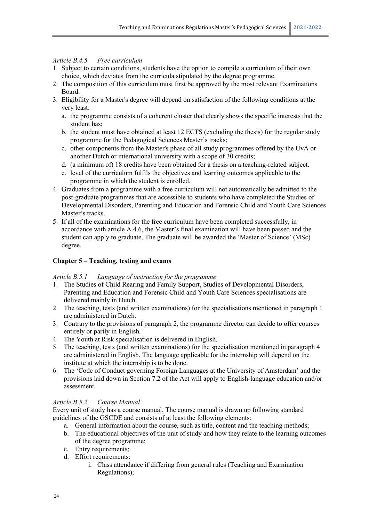#### *Article B.4.5 Free curriculum*

- 1. Subject to certain conditions, students have the option to compile a curriculum of their own choice, which deviates from the curricula stipulated by the degree programme.
- 2. The composition of this curriculum must first be approved by the most relevant Examinations Board.
- 3. Eligibility for a Master's degree will depend on satisfaction of the following conditions at the very least:
	- a. the programme consists of a coherent cluster that clearly shows the specific interests that the student has;
	- b. the student must have obtained at least 12 ECTS (excluding the thesis) for the regular study programme for the Pedagogical Sciences Master's tracks;
	- c. other components from the Master's phase of all study programmes offered by the UvA or another Dutch or international university with a scope of 30 credits;
	- d. (a minimum of) 18 credits have been obtained for a thesis on a teaching-related subject.
	- e. level of the curriculum fulfils the objectives and learning outcomes applicable to the programme in which the student is enrolled.
- 4. Graduates from a programme with a free curriculum will not automatically be admitted to the post-graduate programmes that are accessible to students who have completed the Studies of Developmental Disorders, Parenting and Education and Forensic Child and Youth Care Sciences Master's tracks.
- 5. If all of the examinations for the free curriculum have been completed successfully, in accordance with article A.4.6, the Master's final examination will have been passed and the student can apply to graduate. The graduate will be awarded the 'Master of Science' (MSc) degree.

#### **Chapter 5** – **Teaching, testing and exams**

*Article B.5.1 Language of instruction for the programme*

- 1. The Studies of Child Rearing and Family Support, Studies of Developmental Disorders, Parenting and Education and Forensic Child and Youth Care Sciences specialisations are delivered mainly in Dutch.
- 2. The teaching, tests (and written examinations) for the specialisations mentioned in paragraph 1 are administered in Dutch.
- 3. Contrary to the provisions of paragraph 2, the programme director can decide to offer courses entirely or partly in English.
- 4. The Youth at Risk specialisation is delivered in English.
- 5. The teaching, tests (and written examinations) for the specialisation mentioned in paragraph 4 are administered in English. The language applicable for the internship will depend on the institute at which the internship is to be done.
- 6. The ['Code of Conduct governing Foreign Languages at the University of Amsterdam'](http://www.uva.nl/binaries/content/assets/uva/nl/over-de-uva/over-de-uva/regelingen-en-regelementen/gedragscode-vreemde-talen.pdf) and the provisions laid down in Section 7.2 of the Act will apply to English-language education and/or assessment.

#### *Article B.5.2 Course Manual*

Every unit of study has a course manual. The course manual is drawn up following standard guidelines of the GSCDE and consists of at least the following elements:

- a. General information about the course, such as title, content and the teaching methods;
- b. The educational objectives of the unit of study and how they relate to the learning outcomes of the degree programme;
- c. Entry requirements;
- d. Effort requirements:
	- i. Class attendance if differing from general rules (Teaching and Examination Regulations);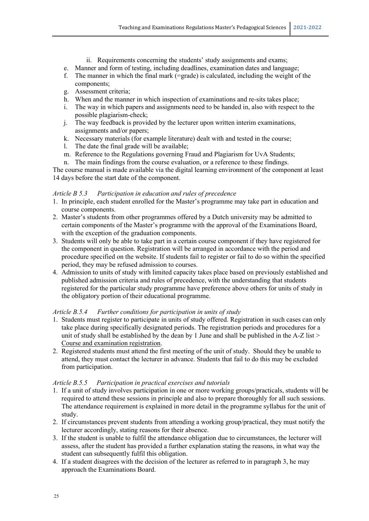- ii. Requirements concerning the students' study assignments and exams;
- e. Manner and form of testing, including deadlines, examination dates and language;
- f. The manner in which the final mark (=grade) is calculated, including the weight of the components;
- g. Assessment criteria;
- h. When and the manner in which inspection of examinations and re-sits takes place;
- i. The way in which papers and assignments need to be handed in, also with respect to the possible plagiarism-check;
- j. The way feedback is provided by the lecturer upon written interim examinations, assignments and/or papers;
- k. Necessary materials (for example literature) dealt with and tested in the course;
- l. The date the final grade will be available;
- m. Reference to the Regulations governing Fraud and Plagiarism for UvA Students;
- n. The main findings from the course evaluation, or a reference to these findings.

The course manual is made available via the digital learning environment of the component at least 14 days before the start date of the component.

#### *Article B 5.3 Participation in education and rules of precedence*

- 1. In principle, each student enrolled for the Master's programme may take part in education and course components.
- 2. Master's students from other programmes offered by a Dutch university may be admitted to certain components of the Master's programme with the approval of the Examinations Board, with the exception of the graduation components.
- 3. Students will only be able to take part in a certain course component if they have registered for the component in question. Registration will be arranged in accordance with the period and procedure specified on the website. If students fail to register or fail to do so within the specified period, they may be refused admission to courses.
- 4. Admission to units of study with limited capacity takes place based on previously established and published admission criteria and rules of precedence, with the understanding that students registered for the particular study programme have preference above others for units of study in the obligatory portion of their educational programme.

#### *Article B.5.4 Further conditions for participation in units of study*

- 1. Students must register to participate in units of study offered. Registration in such cases can only take place during specifically designated periods. The registration periods and procedures for a unit of study shall be established by the dean by 1 June and shall be published in the A-Z list > [Course and examination registration.](http://student.uva.nl/mow/az/item/vak-en-tentamenaanmelding.html)
- 2. Registered students must attend the first meeting of the unit of study. Should they be unable to attend, they must contact the lecturer in advance. Students that fail to do this may be excluded from participation.

#### *Article B.5.5 Participation in practical exercises and tutorials*

- 1. If a unit of study involves participation in one or more working groups/practicals, students will be required to attend these sessions in principle and also to prepare thoroughly for all such sessions. The attendance requirement is explained in more detail in the programme syllabus for the unit of study.
- 2. If circumstances prevent students from attending a working group/practical, they must notify the lecturer accordingly, stating reasons for their absence.
- 3. If the student is unable to fulfil the attendance obligation due to circumstances, the lecturer will assess, after the student has provided a further explanation stating the reasons, in what way the student can subsequently fulfil this obligation.
- 4. If a student disagrees with the decision of the lecturer as referred to in paragraph 3, he may approach the Examinations Board.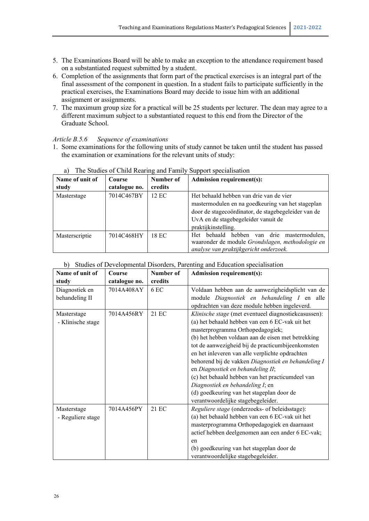- 5. The Examinations Board will be able to make an exception to the attendance requirement based on a substantiated request submitted by a student.
- 6. Completion of the assignments that form part of the practical exercises is an integral part of the final assessment of the component in question. In a student fails to participate sufficiently in the practical exercises, the Examinations Board may decide to issue him with an additional assignment or assignments.
- 7. The maximum group size for a practical will be 25 students per lecturer. The dean may agree to a different maximum subject to a substantiated request to this end from the Director of the Graduate School.

#### *Article B.5.6 Sequence of examinations*

1. Some examinations for the following units of study cannot be taken until the student has passed the examination or examinations for the relevant units of study:

| Name of unit of<br>study | Course<br>catalogue no. | Number of<br>credits | <b>Admission requirement(s):</b>                                                                                                                                                                                  |
|--------------------------|-------------------------|----------------------|-------------------------------------------------------------------------------------------------------------------------------------------------------------------------------------------------------------------|
| Masterstage              | 7014C467BY              | 12 EC                | Het behaald hebben van drie van de vier<br>mastermodulen en na goedkeuring van het stageplan<br>door de stagecoördinator, de stagebegeleider van de<br>UvA en de stagebegeleider vanuit de<br>praktijkinstelling. |
| Masterscriptie           | 7014C468HY              | 18 EC                | hebben van drie<br>Het behaald<br>mastermodulen.<br>waaronder de module Grondslagen, methodologie en<br>analyse van praktijkgericht onderzoek.                                                                    |

#### a) The Studies of Child Rearing and Family Support specialisation

#### b) Studies of Developmental Disorders, Parenting and Education specialisation

| Name of unit of   | Course        | Number of | <b>Admission requirement(s):</b>                     |
|-------------------|---------------|-----------|------------------------------------------------------|
| study             | catalogue no. | credits   |                                                      |
| Diagnostiek en    | 7014A408AY    | 6 EC      | Voldaan hebben aan de aanwezigheidsplicht van de     |
| behandeling II    |               |           | module Diagnostiek en behandeling I en alle          |
|                   |               |           | opdrachten van deze module hebben ingeleverd.        |
| Masterstage       | 7014A456RY    | 21 EC     | Klinische stage (met eventueel diagnostiekcasussen): |
| - Klinische stage |               |           | (a) het behaald hebben van een 6 EC-vak uit het      |
|                   |               |           | masterprogramma Orthopedagogiek;                     |
|                   |               |           | (b) het hebben voldaan aan de eisen met betrekking   |
|                   |               |           | tot de aanwezigheid bij de practicumbijeenkomsten    |
|                   |               |           | en het inleveren van alle verplichte opdrachten      |
|                   |               |           | behorend bij de vakken Diagnostiek en behandeling I  |
|                   |               |           | en Diagnostiek en behandeling II;                    |
|                   |               |           | (c) het behaald hebben van het practicumdeel van     |
|                   |               |           | Diagnostiek en behandeling I; en                     |
|                   |               |           | (d) goedkeuring van het stageplan door de            |
|                   |               |           | verantwoordelijke stagebegeleider.                   |
| Masterstage       | 7014A456PY    | 21 EC     | Reguliere stage (onderzoeks- of beleidsstage):       |
| - Reguliere stage |               |           | (a) het behaald hebben van een 6 EC-vak uit het      |
|                   |               |           | masterprogramma Orthopedagogiek en daarnaast         |
|                   |               |           | actief hebben deelgenomen aan een ander 6 EC-vak;    |
|                   |               |           | en                                                   |
|                   |               |           | (b) goedkeuring van het stageplan door de            |
|                   |               |           | verantwoordelijke stagebegeleider.                   |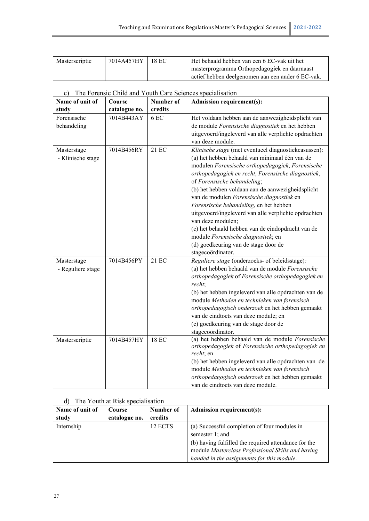| Masterscriptie | 7014A457HY 18 EC | Het behaald hebben van een 6 EC-vak uit het       |
|----------------|------------------|---------------------------------------------------|
|                |                  | masterprogramma Orthopedagogiek en daarnaast      |
|                |                  | actief hebben deelgenomen aan een ander 6 EC-vak. |

| c) The Forensic Child and Youth Care Sciences specialisation |  |  |
|--------------------------------------------------------------|--|--|
|                                                              |  |  |

| Name of unit of                  | Course        | Number of    | <b>Admission requirement(s):</b>                                                                                                                                                                                                                                                                                                                                                                                                                                                                                                                                                                                                 |
|----------------------------------|---------------|--------------|----------------------------------------------------------------------------------------------------------------------------------------------------------------------------------------------------------------------------------------------------------------------------------------------------------------------------------------------------------------------------------------------------------------------------------------------------------------------------------------------------------------------------------------------------------------------------------------------------------------------------------|
| study                            | catalogue no. | credits      |                                                                                                                                                                                                                                                                                                                                                                                                                                                                                                                                                                                                                                  |
| Forensische<br>behandeling       | 7014B443AY    | 6 EC         | Het voldaan hebben aan de aanwezigheidsplicht van<br>de module Forensische diagnostiek en het hebben<br>uitgevoerd/ingeleverd van alle verplichte opdrachten<br>van deze module.                                                                                                                                                                                                                                                                                                                                                                                                                                                 |
| Masterstage<br>- Klinische stage | 7014B456RY    | 21 EC        | Klinische stage (met eventueel diagnostiekcasussen):<br>(a) het hebben behaald van minimaal één van de<br>modulen Forensische orthopedagogiek, Forensische<br>orthopedagogiek en recht, Forensische diagnostiek,<br>of Forensische behandeling;<br>(b) het hebben voldaan aan de aanwezigheidsplicht<br>van de modulen Forensische diagnostiek en<br>Forensische behandeling, en het hebben<br>uitgevoerd/ingeleverd van alle verplichte opdrachten<br>van deze modulen;<br>(c) het behaald hebben van de eindopdracht van de<br>module Forensische diagnostiek; en<br>(d) goedkeuring van de stage door de<br>stagecoördinator. |
| Masterstage<br>- Reguliere stage | 7014B456PY    | 21 EC        | Reguliere stage (onderzoeks- of beleidsstage):<br>(a) het hebben behaald van de module Forensische<br>orthopedagogiek of Forensische orthopedagogiek en<br>recht;<br>(b) het hebben ingeleverd van alle opdrachten van de<br>module Methoden en technieken van forensisch<br>orthopedagogisch onderzoek en het hebben gemaakt<br>van de eindtoets van deze module; en<br>(c) goedkeuring van de stage door de<br>stagecoördinator.                                                                                                                                                                                               |
| Masterscriptie                   | 7014B457HY    | <b>18 EC</b> | (a) het hebben behaald van de module Forensische<br>orthopedagogiek of Forensische orthopedagogiek en<br>recht; en<br>(b) het hebben ingeleverd van alle opdrachten van de<br>module Methoden en technieken van forensisch<br>orthopedagogisch onderzoek en het hebben gemaakt<br>van de eindtoets van deze module.                                                                                                                                                                                                                                                                                                              |

#### d) The Youth at Risk specialisation

| Name of unit of<br>study | Course<br>catalogue no. | Number of<br>credits | <b>Admission requirement(s):</b>                                                                          |
|--------------------------|-------------------------|----------------------|-----------------------------------------------------------------------------------------------------------|
| Internship               |                         | 12 ECTS              | (a) Successful completion of four modules in<br>semester 1; and                                           |
|                          |                         |                      | (b) having fulfilled the required attendance for the<br>module Masterclass Professional Skills and having |
|                          |                         |                      | handed in the assignments for this module.                                                                |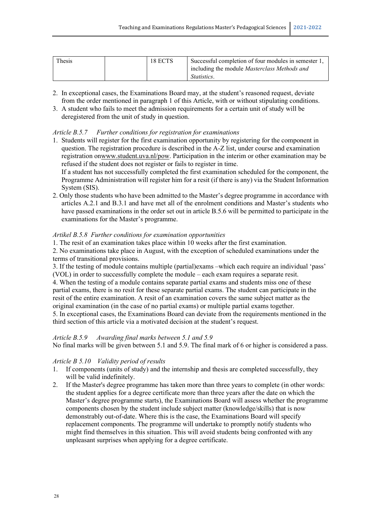| Thesis | 18 ECTS | Successful completion of four modules in semester 1. |
|--------|---------|------------------------------------------------------|
|        |         | including the module <i>Masterclass Methods and</i>  |
|        |         | <i>Statistics.</i>                                   |

- 2. In exceptional cases, the Examinations Board may, at the student's reasoned request, deviate from the order mentioned in paragraph 1 of this Article, with or without stipulating conditions.
- 3. A student who fails to meet the admission requirements for a certain unit of study will be deregistered from the unit of study in question.

#### *Article B.5.7 Further conditions for registration for examinations*

1. Students will register for the first examination opportunity by registering for the component in question. The registration procedure is described in the A-Z list, under course and examination registration onwww.student.uva.nl/pow. Participation in the interim or other examination may be refused if the student does not register or fails to register in time.

If a student has not successfully completed the first examination scheduled for the component, the Programme Administration will register him for a resit (if there is any) via the Student Information System (SIS).

2. Only those students who have been admitted to the Master's degree programme in accordance with articles A.2.1 and B.3.1 and have met all of the enrolment conditions and Master's students who have passed examinations in the order set out in article B.5.6 will be permitted to participate in the examinations for the Master's programme.

#### *Artikel B.5.8 Further conditions for examination opportunities*

1. The resit of an examination takes place within 10 weeks after the first examination.

2. No examinations take place in August, with the exception of scheduled examinations under the terms of transitional provisions.

3. If the testing of module contains multiple (partial)exams –which each require an individual 'pass' (VOL) in order to successfully complete the module – each exam requires a separate resit. 4. When the testing of a module contains separate partial exams and students miss one of these partial exams, there is no resit for these separate partial exams. The student can participate in the resit of the entire examination. A resit of an examination covers the same subject matter as the original examination (in the case of no partial exams) or multiple partial exams together. 5. In exceptional cases, the Examinations Board can deviate from the requirements mentioned in the third section of this article via a motivated decision at the student's request.

#### *Article B.5.9 Awarding final marks between 5.1 and 5.9*

No final marks will be given between 5.1 and 5.9. The final mark of 6 or higher is considered a pass.

#### *Article B 5.10 Validity period of results*

- 1. If components (units of study) and the internship and thesis are completed successfully, they will be valid indefinitely.
- 2. If the Master's degree programme has taken more than three years to complete (in other words: the student applies for a degree certificate more than three years after the date on which the Master's degree programme starts), the Examinations Board will assess whether the programme components chosen by the student include subject matter (knowledge/skills) that is now demonstrably out-of-date. Where this is the case, the Examinations Board will specify replacement components. The programme will undertake to promptly notify students who might find themselves in this situation. This will avoid students being confronted with any unpleasant surprises when applying for a degree certificate.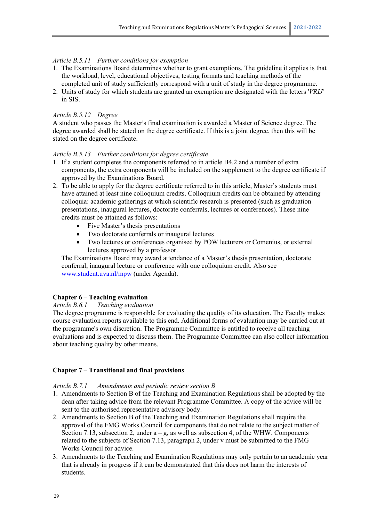#### *Article B.5.11 Further conditions for exemption*

- 1. The Examinations Board determines whether to grant exemptions. The guideline it applies is that the workload, level, educational objectives, testing formats and teaching methods of the completed unit of study sufficiently correspond with a unit of study in the degree programme.
- 2. Units of study for which students are granted an exemption are designated with the letters '*VRIJ*' in SIS.

#### *Article B.5.12 Degree*

A student who passes the Master's final examination is awarded a Master of Science degree. The degree awarded shall be stated on the degree certificate. If this is a joint degree, then this will be stated on the degree certificate.

#### *Article B.5.13 Further conditions for degree certificate*

- 1. If a student completes the components referred to in article B4.2 and a number of extra components, the extra components will be included on the supplement to the degree certificate if approved by the Examinations Board.
- 2. To be able to apply for the degree certificate referred to in this article, Master's students must have attained at least nine colloquium credits. Colloquium credits can be obtained by attending colloquia: academic gatherings at which scientific research is presented (such as graduation presentations, inaugural lectures, doctorate conferrals, lectures or conferences). These nine credits must be attained as follows:
	- Five Master's thesis presentations
	- Two doctorate conferrals or inaugural lectures
	- Two lectures or conferences organised by POW lecturers or Comenius, or external lectures approved by a professor.

The Examinations Board may award attendance of a Master's thesis presentation, doctorate conferral, inaugural lecture or conference with one colloquium credit. Also see [www.student.uva.nl/mpw](file://home.uva.nl/wwilgen1/Mijn%20documenten/OER/OER%20voor%202018-2019/OER%20POW/Concept-OER%20Pedagogische%20Wetenschappen/www.student.uva.nl/mpw) (under Agenda).

#### **Chapter 6** – **Teaching evaluation**

*Article B.6.1 Teaching evaluation*

The degree programme is responsible for evaluating the quality of its education. The Faculty makes course evaluation reports available to this end. Additional forms of evaluation may be carried out at the programme's own discretion. The Programme Committee is entitled to receive all teaching evaluations and is expected to discuss them. The Programme Committee can also collect information about teaching quality by other means.

#### **Chapter 7** – **Transitional and final provisions**

#### *Article B.7.1 Amendments and periodic review section B*

- 1. Amendments to Section B of the Teaching and Examination Regulations shall be adopted by the dean after taking advice from the relevant Programme Committee. A copy of the advice will be sent to the authorised representative advisory body.
- 2. Amendments to Section B of the Teaching and Examination Regulations shall require the approval of the FMG Works Council for components that do not relate to the subject matter of Section 7.13, subsection 2, under  $a - g$ , as well as subsection 4, of the WHW. Components related to the subjects of Section 7.13, paragraph 2, under v must be submitted to the FMG Works Council for advice.
- 3. Amendments to the Teaching and Examination Regulations may only pertain to an academic year that is already in progress if it can be demonstrated that this does not harm the interests of students.